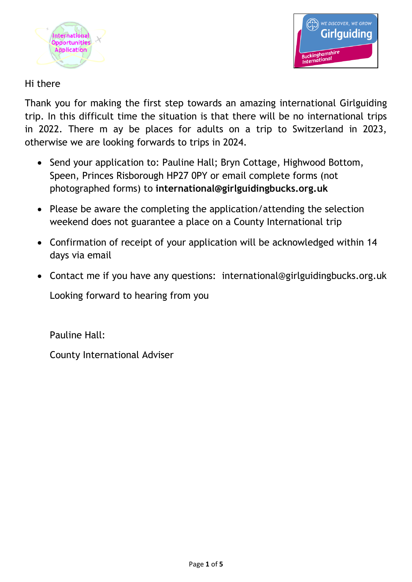



## Hi there

Thank you for making the first step towards an amazing international Girlguiding trip. In this difficult time the situation is that there will be no international trips in 2022. There m ay be places for adults on a trip to Switzerland in 2023, otherwise we are looking forwards to trips in 2024.

- Send your application to: Pauline Hall; Bryn Cottage, Highwood Bottom, Speen, Princes Risborough HP27 0PY or email complete forms (not photographed forms) to **international@girlguidingbucks.org.uk**
- Please be aware the completing the application/attending the selection weekend does not guarantee a place on a County International trip
- Confirmation of receipt of your application will be acknowledged within 14 days via email
- Contact me if you have any questions: international@girlguidingbucks.org.uk

Looking forward to hearing from you

Pauline Hall:

County International Adviser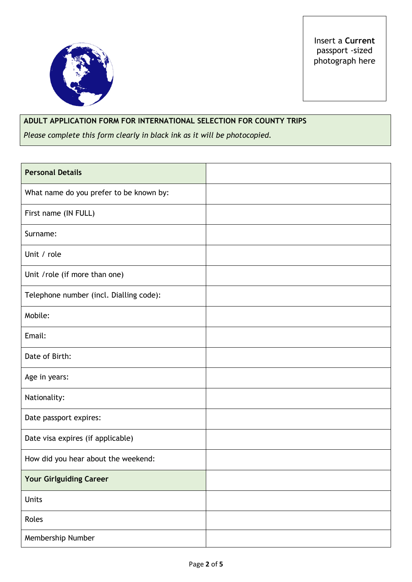

Insert a **Current**  passport -sized photograph here

## **ADULT APPLICATION FORM FOR INTERNATIONAL SELECTION FOR COUNTY TRIPS**

*Please complete this form clearly in black ink as it will be photocopied.*

| <b>Personal Details</b>                 |  |
|-----------------------------------------|--|
| What name do you prefer to be known by: |  |
| First name (IN FULL)                    |  |
| Surname:                                |  |
| Unit / role                             |  |
| Unit / role (if more than one)          |  |
| Telephone number (incl. Dialling code): |  |
| Mobile:                                 |  |
| Email:                                  |  |
| Date of Birth:                          |  |
| Age in years:                           |  |
| Nationality:                            |  |
| Date passport expires:                  |  |
| Date visa expires (if applicable)       |  |
| How did you hear about the weekend:     |  |
| <b>Your Girlguiding Career</b>          |  |
| Units                                   |  |
| Roles                                   |  |
| Membership Number                       |  |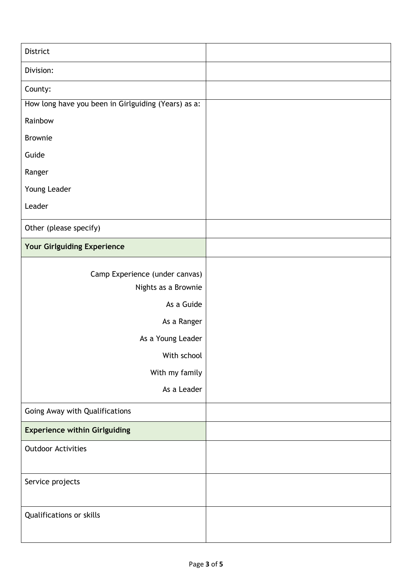| District                                            |  |
|-----------------------------------------------------|--|
| Division:                                           |  |
| County:                                             |  |
| How long have you been in Girlguiding (Years) as a: |  |
| Rainbow                                             |  |
| <b>Brownie</b>                                      |  |
| Guide                                               |  |
| Ranger                                              |  |
| Young Leader                                        |  |
| Leader                                              |  |
| Other (please specify)                              |  |
| Your Girlguiding Experience                         |  |
| Camp Experience (under canvas)                      |  |
| Nights as a Brownie                                 |  |
| As a Guide                                          |  |
| As a Ranger                                         |  |
| As a Young Leader                                   |  |
| With school                                         |  |
| With my family                                      |  |
| As a Leader                                         |  |
| Going Away with Qualifications                      |  |
| <b>Experience within Girlguiding</b>                |  |
| <b>Outdoor Activities</b>                           |  |
| Service projects                                    |  |
| Qualifications or skills                            |  |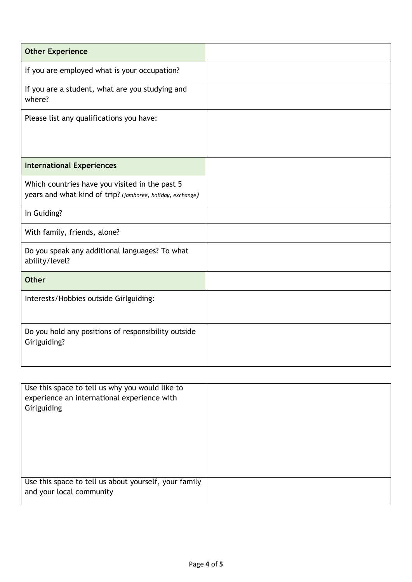| <b>Other Experience</b>                                                                                      |  |
|--------------------------------------------------------------------------------------------------------------|--|
| If you are employed what is your occupation?                                                                 |  |
| If you are a student, what are you studying and<br>where?                                                    |  |
| Please list any qualifications you have:                                                                     |  |
| <b>International Experiences</b>                                                                             |  |
| Which countries have you visited in the past 5<br>years and what kind of trip? (jamboree, holiday, exchange) |  |
| In Guiding?                                                                                                  |  |
| With family, friends, alone?                                                                                 |  |
| Do you speak any additional languages? To what<br>ability/level?                                             |  |
| <b>Other</b>                                                                                                 |  |
| Interests/Hobbies outside Girlguiding:                                                                       |  |
| Do you hold any positions of responsibility outside<br>Girlguiding?                                          |  |

| Use this space to tell us why you would like to<br>experience an international experience with |  |
|------------------------------------------------------------------------------------------------|--|
| Girlguiding                                                                                    |  |
|                                                                                                |  |
|                                                                                                |  |
|                                                                                                |  |
|                                                                                                |  |
| Use this space to tell us about yourself, your family<br>and your local community              |  |
|                                                                                                |  |